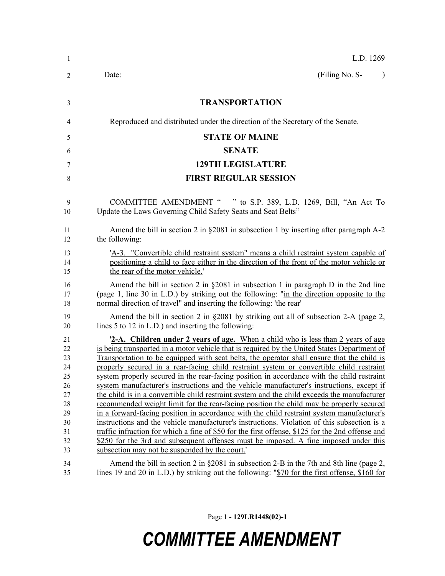| -1                                                                         | L.D. 1269                                                                                                                                                                                                                                                                                                                                                                                                                                                                                                                                                                                                                                                                                                                                                                                                                                                                                                                                                                                                                                                                                                                                                                                                      |
|----------------------------------------------------------------------------|----------------------------------------------------------------------------------------------------------------------------------------------------------------------------------------------------------------------------------------------------------------------------------------------------------------------------------------------------------------------------------------------------------------------------------------------------------------------------------------------------------------------------------------------------------------------------------------------------------------------------------------------------------------------------------------------------------------------------------------------------------------------------------------------------------------------------------------------------------------------------------------------------------------------------------------------------------------------------------------------------------------------------------------------------------------------------------------------------------------------------------------------------------------------------------------------------------------|
| 2                                                                          | (Filing No. S-<br>Date:<br>$\lambda$                                                                                                                                                                                                                                                                                                                                                                                                                                                                                                                                                                                                                                                                                                                                                                                                                                                                                                                                                                                                                                                                                                                                                                           |
| 3                                                                          | <b>TRANSPORTATION</b>                                                                                                                                                                                                                                                                                                                                                                                                                                                                                                                                                                                                                                                                                                                                                                                                                                                                                                                                                                                                                                                                                                                                                                                          |
| 4                                                                          | Reproduced and distributed under the direction of the Secretary of the Senate.                                                                                                                                                                                                                                                                                                                                                                                                                                                                                                                                                                                                                                                                                                                                                                                                                                                                                                                                                                                                                                                                                                                                 |
| 5                                                                          | <b>STATE OF MAINE</b>                                                                                                                                                                                                                                                                                                                                                                                                                                                                                                                                                                                                                                                                                                                                                                                                                                                                                                                                                                                                                                                                                                                                                                                          |
| 6                                                                          | <b>SENATE</b>                                                                                                                                                                                                                                                                                                                                                                                                                                                                                                                                                                                                                                                                                                                                                                                                                                                                                                                                                                                                                                                                                                                                                                                                  |
| 7                                                                          | <b>129TH LEGISLATURE</b>                                                                                                                                                                                                                                                                                                                                                                                                                                                                                                                                                                                                                                                                                                                                                                                                                                                                                                                                                                                                                                                                                                                                                                                       |
| 8                                                                          | <b>FIRST REGULAR SESSION</b>                                                                                                                                                                                                                                                                                                                                                                                                                                                                                                                                                                                                                                                                                                                                                                                                                                                                                                                                                                                                                                                                                                                                                                                   |
| 9<br>10                                                                    | <b>COMMITTEE AMENDMENT "</b><br>" to S.P. 389, L.D. 1269, Bill, "An Act To<br>Update the Laws Governing Child Safety Seats and Seat Belts"                                                                                                                                                                                                                                                                                                                                                                                                                                                                                                                                                                                                                                                                                                                                                                                                                                                                                                                                                                                                                                                                     |
| 11<br>12                                                                   | Amend the bill in section 2 in $\S 2081$ in subsection 1 by inserting after paragraph A-2<br>the following:                                                                                                                                                                                                                                                                                                                                                                                                                                                                                                                                                                                                                                                                                                                                                                                                                                                                                                                                                                                                                                                                                                    |
| 13<br>14<br>15                                                             | 'A-3. "Convertible child restraint system" means a child restraint system capable of<br>positioning a child to face either in the direction of the front of the motor vehicle or<br>the rear of the motor vehicle.                                                                                                                                                                                                                                                                                                                                                                                                                                                                                                                                                                                                                                                                                                                                                                                                                                                                                                                                                                                             |
| 16<br>17<br>18                                                             | Amend the bill in section 2 in $\S 2081$ in subsection 1 in paragraph D in the 2nd line<br>(page 1, line 30 in L.D.) by striking out the following: "in the direction opposite to the<br>normal direction of travel" and inserting the following: 'the rear'                                                                                                                                                                                                                                                                                                                                                                                                                                                                                                                                                                                                                                                                                                                                                                                                                                                                                                                                                   |
| 19<br>20                                                                   | Amend the bill in section 2 in $\S 2081$ by striking out all of subsection 2-A (page 2,<br>lines 5 to 12 in L.D.) and inserting the following:                                                                                                                                                                                                                                                                                                                                                                                                                                                                                                                                                                                                                                                                                                                                                                                                                                                                                                                                                                                                                                                                 |
| 21<br>22<br>23<br>24<br>25<br>26<br>27<br>28<br>29<br>30<br>31<br>32<br>33 | <b>2-A.</b> Children under 2 years of age. When a child who is less than 2 years of age<br>is being transported in a motor vehicle that is required by the United States Department of<br>Transportation to be equipped with seat belts, the operator shall ensure that the child is<br>properly secured in a rear-facing child restraint system or convertible child restraint<br>system properly secured in the rear-facing position in accordance with the child restraint<br>system manufacturer's instructions and the vehicle manufacturer's instructions, except if<br>the child is in a convertible child restraint system and the child exceeds the manufacturer<br>recommended weight limit for the rear-facing position the child may be properly secured<br>in a forward-facing position in accordance with the child restraint system manufacturer's<br>instructions and the vehicle manufacturer's instructions. Violation of this subsection is a<br>traffic infraction for which a fine of \$50 for the first offense, \$125 for the 2nd offense and<br>\$250 for the 3rd and subsequent offenses must be imposed. A fine imposed under this<br>subsection may not be suspended by the court.' |
| 34<br>35                                                                   | Amend the bill in section 2 in $\S 2081$ in subsection 2-B in the 7th and 8th line (page 2,<br>lines 19 and 20 in L.D.) by striking out the following: "\$70 for the first offense, \$160 for                                                                                                                                                                                                                                                                                                                                                                                                                                                                                                                                                                                                                                                                                                                                                                                                                                                                                                                                                                                                                  |

Page 1 **- 129LR1448(02)-1**

## *COMMITTEE AMENDMENT*